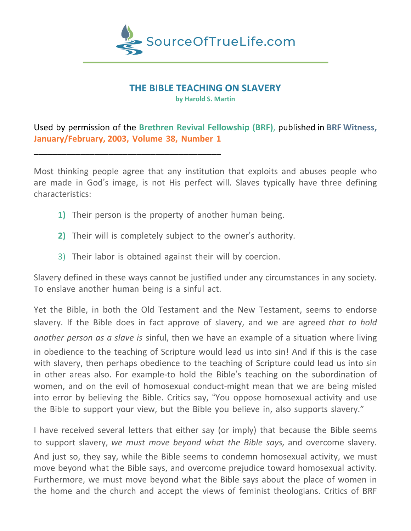

# **THE BIBLE TEACHING ON SLAVERY**

**by Harold S. Martin**

Used by permission of the **Brethren Revival Fellowship (BRF)**, published in **BRF Witness, January/February, 2003, Volume 38, Number 1**

Most thinking people agree that any institution that exploits and abuses people who are made in God's image, is not His perfect will. Slaves typically have three defining characteristics:

**1)** Their person is the property of another human being.

\_\_\_\_\_\_\_\_\_\_\_\_\_\_\_\_\_\_\_\_\_\_\_\_\_\_\_\_\_\_\_\_\_\_\_\_\_\_\_\_

- **2)** Their will is completely subject to the owner's authority.
- 3) Their labor is obtained against their will by coercion.

Slavery defined in these ways cannot be justified under any circumstances in any society. To enslave another human being is a sinful act.

Yet the Bible, in both the Old Testament and the New Testament, seems to endorse slavery. If the Bible does in fact approve of slavery, and we are agreed *that to hold another person as a slave is* sinful, then we have an example of a situation where living in obedience to the teaching of Scripture would lead us into sin! And if this is the case with slavery, then perhaps obedience to the teaching of Scripture could lead us into sin in other areas also. For example-to hold the Bible's teaching on the subordination of women, and on the evil of homosexual conduct-might mean that we are being misled into error by believing the Bible. Critics say, "You oppose homosexual activity and use the Bible to support your view, but the Bible you believe in, also supports slavery."

I have received several letters that either say (or imply) that because the Bible seems to support slavery, *we must move beyond what the Bible says,* and overcome slavery. And just so, they say, while the Bible seems to condemn homosexual activity, we must move beyond what the Bible says, and overcome prejudice toward homosexual activity. Furthermore, we must move beyond what the Bible says about the place of women in the home and the church and accept the views of feminist theologians. Critics of BRF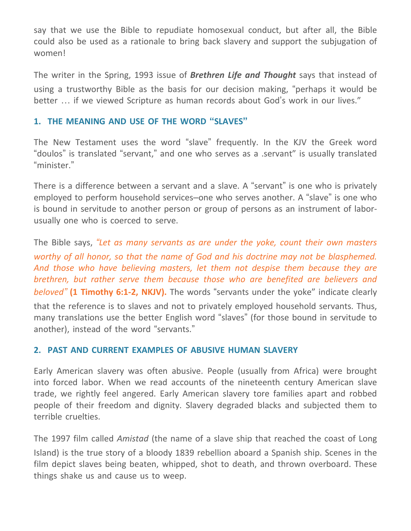say that we use the Bible to repudiate homosexual conduct, but after all, the Bible could also be used as a rationale to bring back slavery and support the subjugation of women!

The writer in the Spring, 1993 issue of *Brethren Life and Thought* says that instead of using a trustworthy Bible as the basis for our decision making, "perhaps it would be better … if we viewed Scripture as human records about God's work in our lives."

### **1. THE MEANING AND USE OF THE WORD "SLAVES"**

The New Testament uses the word "slave" frequently. In the KJV the Greek word "doulos" is translated "servant," and one who serves as a .servant" is usually translated "minister."

There is a difference between a servant and a slave. A "servant" is one who is privately employed to perform household services–one who serves another. A "slave" is one who is bound in servitude to another person or group of persons as an instrument of laborusually one who is coerced to serve.

The Bible says, *"Let as many servants as are under the yoke, count their own masters worthy of all honor, so that the name of God and his doctrine may not be blasphemed. And those who have believing masters, let them not despise them because they are brethren, but rather serve them because those who are benefited are believers and beloved"* **(1 Timothy 6:1-2, NKJV).** The words "servants under the yoke" indicate clearly that the reference is to slaves and not to privately employed household servants. Thus, many translations use the better English word "slaves" (for those bound in servitude to another), instead of the word "servants."

#### **2. PAST AND CURRENT EXAMPLES OF ABUSIVE HUMAN SLAVERY**

Early American slavery was often abusive. People (usually from Africa) were brought into forced labor. When we read accounts of the nineteenth century American slave trade, we rightly feel angered. Early American slavery tore families apart and robbed people of their freedom and dignity. Slavery degraded blacks and subjected them to terrible cruelties.

The 1997 film called *Amistad* (the name of a slave ship that reached the coast of Long Island) is the true story of a bloody 1839 rebellion aboard a Spanish ship. Scenes in the film depict slaves being beaten, whipped, shot to death, and thrown overboard. These things shake us and cause us to weep.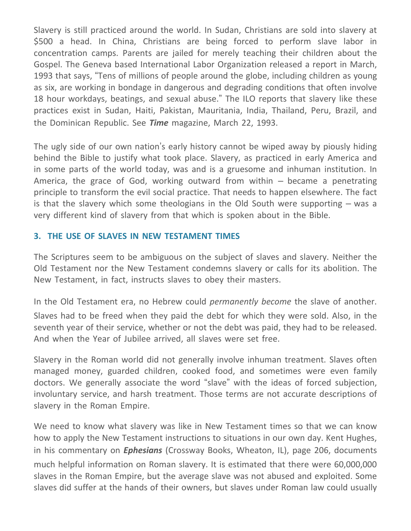Slavery is still practiced around the world. In Sudan, Christians are sold into slavery at \$500 a head. In China, Christians are being forced to perform slave labor in concentration camps. Parents are jailed for merely teaching their children about the Gospel. The Geneva based International Labor Organization released a report in March, 1993 that says, "Tens of millions of people around the globe, including children as young as six, are working in bondage in dangerous and degrading conditions that often involve 18 hour workdays, beatings, and sexual abuse." The ILO reports that slavery like these practices exist in Sudan, Haiti, Pakistan, Mauritania, India, Thailand, Peru, Brazil, and the Dominican Republic. See *Time* magazine, March 22, 1993.

The ugly side of our own nation's early history cannot be wiped away by piously hiding behind the Bible to justify what took place. Slavery, as practiced in early America and in some parts of the world today, was and is a gruesome and inhuman institution. In America, the grace of God, working outward from within – became a penetrating principle to transform the evil social practice. That needs to happen elsewhere. The fact is that the slavery which some theologians in the Old South were supporting – was a very different kind of slavery from that which is spoken about in the Bible.

## **3. THE USE OF SLAVES IN NEW TESTAMENT TIMES**

The Scriptures seem to be ambiguous on the subject of slaves and slavery. Neither the Old Testament nor the New Testament condemns slavery or calls for its abolition. The New Testament, in fact, instructs slaves to obey their masters.

In the Old Testament era, no Hebrew could *permanently become* the slave of another. Slaves had to be freed when they paid the debt for which they were sold. Also, in the seventh year of their service, whether or not the debt was paid, they had to be released. And when the Year of Jubilee arrived, all slaves were set free.

Slavery in the Roman world did not generally involve inhuman treatment. Slaves often managed money, guarded children, cooked food, and sometimes were even family doctors. We generally associate the word "slave" with the ideas of forced subjection, involuntary service, and harsh treatment. Those terms are not accurate descriptions of slavery in the Roman Empire.

We need to know what slavery was like in New Testament times so that we can know how to apply the New Testament instructions to situations in our own day. Kent Hughes, in his commentary on *Ephesians* (Crossway Books, Wheaton, IL), page 206, documents much helpful information on Roman slavery. It is estimated that there were 60,000,000 slaves in the Roman Empire, but the average slave was not abused and exploited. Some slaves did suffer at the hands of their owners, but slaves under Roman law could usually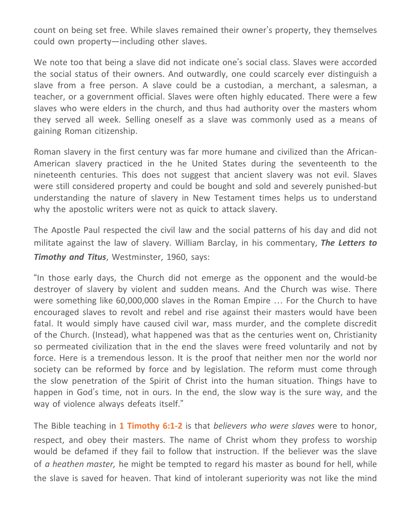count on being set free. While slaves remained their owner's property, they themselves could own property—including other slaves.

We note too that being a slave did not indicate one's social class. Slaves were accorded the social status of their owners. And outwardly, one could scarcely ever distinguish a slave from a free person. A slave could be a custodian, a merchant, a salesman, a teacher, or a government official. Slaves were often highly educated. There were a few slaves who were elders in the church, and thus had authority over the masters whom they served all week. Selling oneself as a slave was commonly used as a means of gaining Roman citizenship.

Roman slavery in the first century was far more humane and civilized than the African-American slavery practiced in the he United States during the seventeenth to the nineteenth centuries. This does not suggest that ancient slavery was not evil. Slaves were still considered property and could be bought and sold and severely punished-but understanding the nature of slavery in New Testament times helps us to understand why the apostolic writers were not as quick to attack slavery.

The Apostle Paul respected the civil law and the social patterns of his day and did not militate against the law of slavery. William Barclay, in his commentary, *The Letters to Timothy and Titus*, Westminster, 1960, says:

"In those early days, the Church did not emerge as the opponent and the would-be destroyer of slavery by violent and sudden means. And the Church was wise. There were something like 60,000,000 slaves in the Roman Empire … For the Church to have encouraged slaves to revolt and rebel and rise against their masters would have been fatal. It would simply have caused civil war, mass murder, and the complete discredit of the Church. (Instead), what happened was that as the centuries went on, Christianity so permeated civilization that in the end the slaves were freed voluntarily and not by force. Here is a tremendous lesson. It is the proof that neither men nor the world nor society can be reformed by force and by legislation. The reform must come through the slow penetration of the Spirit of Christ into the human situation. Things have to happen in God's time, not in ours. In the end, the slow way is the sure way, and the way of violence always defeats itself."

The Bible teaching in **1 Timothy 6:1-2** is that *believers who were slaves* were to honor, respect, and obey their masters. The name of Christ whom they profess to worship would be defamed if they fail to follow that instruction. If the believer was the slave of *a heathen master,* he might be tempted to regard his master as bound for hell, while the slave is saved for heaven. That kind of intolerant superiority was not like the mind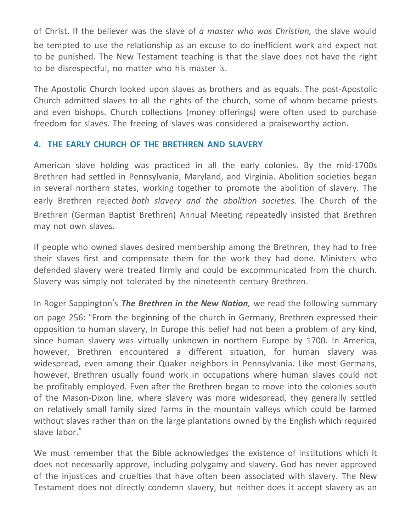of Christ. If the believer was the slave of *a master who was Christian,* the slave would be tempted to use the relationship as an excuse to do inefficient work and expect not to be punished. The New Testament teaching is that the slave does not have the right to be disrespectful, no matter who his master is.

The Apostolic Church looked upon slaves as brothers and as equals. The post-Apostolic Church admitted slaves to all the rights of the church, some of whom became priests and even bishops. Church collections (money offerings) were often used to purchase freedom for slaves. The freeing of slaves was considered a praiseworthy action.

## **4. THE EARLY CHURCH OF THE BRETHREN AND SLAVERY**

American slave holding was practiced in all the early colonies. By the mid-1700s Brethren had settled in Pennsylvania, Maryland, and Virginia. Abolition societies began in several northern states, working together to promote the abolition of slavery. The early Brethren rejected *both slavery and the abolition societies.* The Church of the Brethren (German Baptist Brethren) Annual Meeting repeatedly insisted that Brethren may not own slaves.

If people who owned slaves desired membership among the Brethren, they had to free their slaves first and compensate them for the work they had done. Ministers who defended slavery were treated firmly and could be excommunicated from the church. Slavery was simply not tolerated by the nineteenth century Brethren.

In Roger Sappington's *The Brethren in the New Nation,* we read the following summary on page 256: "From the beginning of the church in Germany, Brethren expressed their opposition to human slavery, In Europe this belief had not been a problem of any kind, since human slavery was virtually unknown in northern Europe by 1700. In America, however, Brethren encountered a different situation, for human slavery was widespread, even among their Quaker neighbors in Pennsylvania. Like most Germans, however, Brethren usually found work in occupations where human slaves could not be profitably employed. Even after the Brethren began to move into the colonies south of the Mason-Dixon line, where slavery was more widespread, they generally settled on relatively small family sized farms in the mountain valleys which could be farmed without slaves rather than on the large plantations owned by the English which required slave labor."

We must remember that the Bible acknowledges the existence of institutions which it does not necessarily approve, including polygamy and slavery. God has never approved of the injustices and cruelties that have often been associated with slavery. The New Testament does not directly condemn slavery, but neither does it accept slavery as an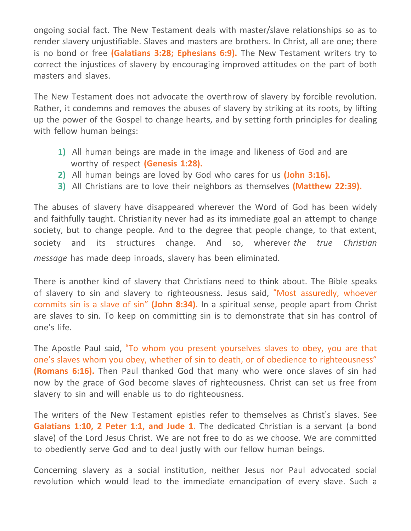ongoing social fact. The New Testament deals with master/slave relationships so as to render slavery unjustifiable. Slaves and masters are brothers. In Christ, all are one; there is no bond or free **(Galatians 3:28; Ephesians 6:9).** The New Testament writers try to correct the injustices of slavery by encouraging improved attitudes on the part of both masters and slaves.

The New Testament does not advocate the overthrow of slavery by forcible revolution. Rather, it condemns and removes the abuses of slavery by striking at its roots, by lifting up the power of the Gospel to change hearts, and by setting forth principles for dealing with fellow human beings:

- **1)** All human beings are made in the image and likeness of God and are worthy of respect **(Genesis 1:28).**
- **2)** All human beings are loved by God who cares for us **(John 3:16).**
- **3)** All Christians are to love their neighbors as themselves **(Matthew 22:39).**

The abuses of slavery have disappeared wherever the Word of God has been widely and faithfully taught. Christianity never had as its immediate goal an attempt to change society, but to change people. And to the degree that people change, to that extent, society and its structures change. And so, wherever *the true Christian message* has made deep inroads, slavery has been eliminated.

There is another kind of slavery that Christians need to think about. The Bible speaks of slavery to sin and slavery to righteousness. Jesus said, "Most assuredly, whoever commits sin is a slave of sin" **(John 8:34).** In a spiritual sense, people apart from Christ are slaves to sin. To keep on committing sin is to demonstrate that sin has control of one's life.

The Apostle Paul said, "To whom you present yourselves slaves to obey, you are that one's slaves whom you obey, whether of sin to death, or of obedience to righteousness" **(Romans 6:16).** Then Paul thanked God that many who were once slaves of sin had now by the grace of God become slaves of righteousness. Christ can set us free from slavery to sin and will enable us to do righteousness.

The writers of the New Testament epistles refer to themselves as Christ's slaves. See **Galatians 1:10, 2 Peter 1:1, and Jude 1.** The dedicated Christian is a servant (a bond slave) of the Lord Jesus Christ. We are not free to do as we choose. We are committed to obediently serve God and to deal justly with our fellow human beings.

Concerning slavery as a social institution, neither Jesus nor Paul advocated social revolution which would lead to the immediate emancipation of every slave. Such a